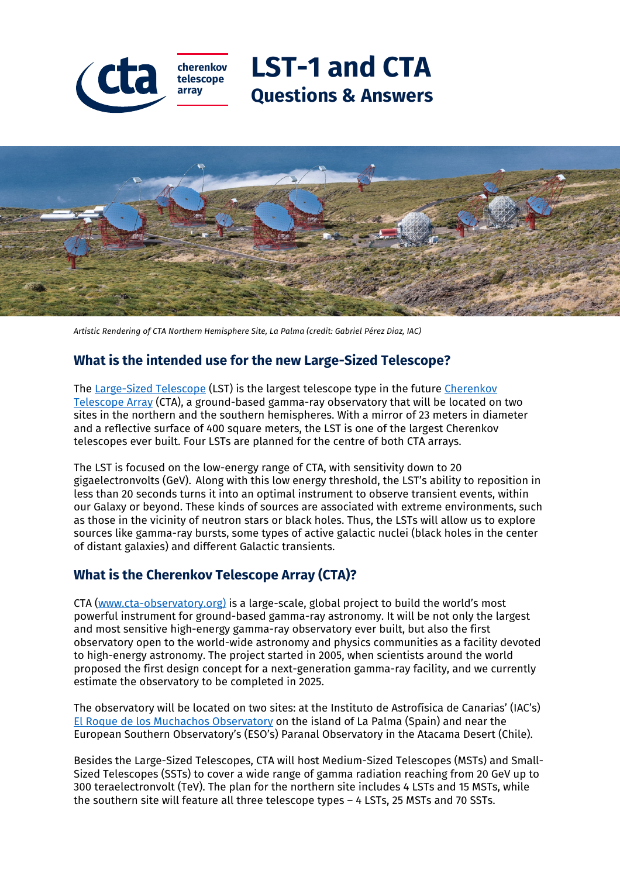



*Artistic Rendering of CTA Northern Hemisphere Site, La Palma (credit: Gabriel Pérez Diaz, IAC)*

# **What is the intended use for the new Large-Sized Telescope?**

The [Large-Sized Telescope](https://www.cta-observatory.org/project/technology/lst/) (LST) is the largest telescope type in the future [Cherenkov](https://www.cta-observatory.org/)  [Telescope Array](https://www.cta-observatory.org/) (CTA), a ground-based gamma-ray observatory that will be located on two sites in the northern and the southern hemispheres. With a mirror of 23 meters in diameter and a reflective surface of 400 square meters, the LST is one of the largest Cherenkov telescopes ever built. Four LSTs are planned for the centre of both CTA arrays.

The LST is focused on the low-energy range of CTA, with sensitivity down to 20 gigaelectronvolts (GeV). Along with this low energy threshold, the LST's ability to reposition in less than 20 seconds turns it into an optimal instrument to observe transient events, within our Galaxy or beyond. These kinds of sources are associated with extreme environments, such as those in the vicinity of neutron stars or black holes. Thus, the LSTs will allow us to explore sources like gamma-ray bursts, some types of active galactic nuclei (black holes in the center of distant galaxies) and different Galactic transients.

### **What is the Cherenkov Telescope Array (CTA)?**

CTA [\(www.cta-observatory.org\)](https://www.cta-observatory.org/) is a large-scale, global project to build the world's most powerful instrument for ground-based gamma-ray astronomy. It will be not only the largest and most sensitive high-energy gamma-ray observatory ever built, but also the first observatory open to the world-wide astronomy and physics communities as a facility devoted to high-energy astronomy. The project started in 2005, when scientists around the world proposed the first design concept for a next-generation gamma-ray facility, and we currently estimate the observatory to be completed in 2025.

The observatory will be located on two sites: at the Instituto de Astrofísica de Canarias' (IAC's) [El Roque de los Muchachos Observatory](http://www.iac.es/eno.php?op1=2&lang=en) on the island of La Palma (Spain) and near the European Southern Observatory's (ESO's) Paranal Observatory in the Atacama Desert (Chile).

Besides the Large-Sized Telescopes, CTA will host Medium-Sized Telescopes (MSTs) and Small-Sized Telescopes (SSTs) to cover a wide range of gamma radiation reaching from 20 GeV up to 300 teraelectronvolt (TeV). The plan for the northern site includes 4 LSTs and 15 MSTs, while the southern site will feature all three telescope types – 4 LSTs, 25 MSTs and 70 SSTs.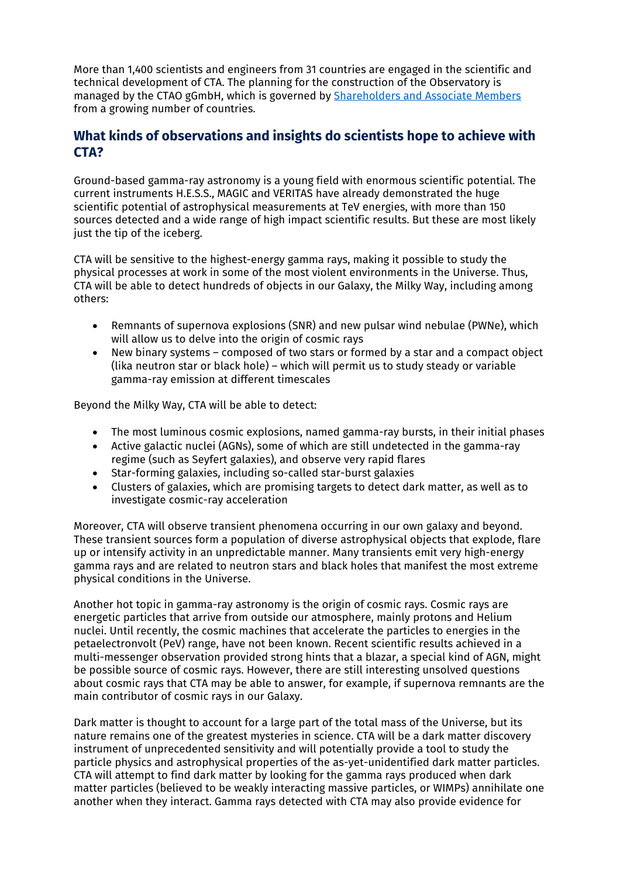More than 1,400 scientists and engineers from 31 countries are engaged in the scientific and technical development of CTA. The planning for the construction of the Observatory is managed by the CTAO gGmbH, which is governed by [Shareholders and Associate Members](https://www.cta-observatory.org/about/governance/) from a growing number of countries.

## **What kinds of observations and insights do scientists hope to achieve with CTA?**

Ground-based gamma-ray astronomy is a young field with enormous scientific potential. The current instruments H.E.S.S., MAGIC and VERITAS have already demonstrated the huge scientific potential of astrophysical measurements at TeV energies, with more than 150 sources detected and a wide range of high impact scientific results. But these are most likely just the tip of the iceberg.

CTA will be sensitive to the highest-energy gamma rays, making it possible to study the physical processes at work in some of the most violent environments in the Universe. Thus, CTA will be able to detect hundreds of objects in our Galaxy, the Milky Way, including among others:

- Remnants of supernova explosions (SNR) and new pulsar wind nebulae (PWNe), which will allow us to delve into the origin of cosmic rays
- New binary systems composed of two stars or formed by a star and a compact object (lika neutron star or black hole) – which will permit us to study steady or variable gamma-ray emission at different timescales

Beyond the Milky Way, CTA will be able to detect:

- The most luminous cosmic explosions, named gamma-ray bursts, in their initial phases
- Active galactic nuclei (AGNs), some of which are still undetected in the gamma-ray regime (such as Seyfert galaxies), and observe very rapid flares
- Star-forming galaxies, including so-called star-burst galaxies
- Clusters of galaxies, which are promising targets to detect dark matter, as well as to investigate cosmic-ray acceleration

Moreover, CTA will observe transient phenomena occurring in our own galaxy and beyond. These transient sources form a population of diverse astrophysical objects that explode, flare up or intensify activity in an unpredictable manner. Many transients emit very high-energy gamma rays and are related to neutron stars and black holes that manifest the most extreme physical conditions in the Universe.

Another hot topic in gamma-ray astronomy is the origin of cosmic rays. Cosmic rays are energetic particles that arrive from outside our atmosphere, mainly protons and Helium nuclei. Until recently, the cosmic machines that accelerate the particles to energies in the petaelectronvolt (PeV) range, have not been known. Recent scientific results achieved in a multi-messenger observation provided strong hints that a blazar, a special kind of AGN, might be possible source of cosmic rays. However, there are still interesting unsolved questions about cosmic rays that CTA may be able to answer, for example, if supernova remnants are the main contributor of cosmic rays in our Galaxy.

Dark matter is thought to account for a large part of the total mass of the Universe, but its nature remains one of the greatest mysteries in science. CTA will be a dark matter discovery instrument of unprecedented sensitivity and will potentially provide a tool to study the particle physics and astrophysical properties of the as-yet-unidentified dark matter particles. CTA will attempt to find dark matter by looking for the gamma rays produced when dark matter particles (believed to be weakly interacting massive particles, or WIMPs) annihilate one another when they interact. Gamma rays detected with CTA may also provide evidence for